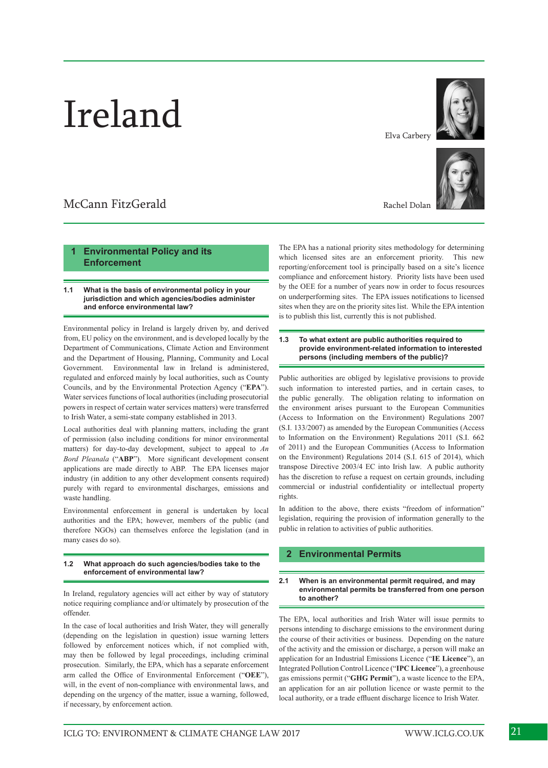# Ireland

## McCann FitzGerald

## **1 Environmental Policy and its Enforcement**

## **1.1 What is the basis of environmental policy in your jurisdiction and which agencies/bodies administer and enforce environmental law?**

Environmental policy in Ireland is largely driven by, and derived from, EU policy on the environment, and is developed locally by the Department of Communications, Climate Action and Environment and the Department of Housing, Planning, Community and Local Government. Environmental law in Ireland is administered, regulated and enforced mainly by local authorities, such as County Councils, and by the Environmental Protection Agency ("**EPA**"). Water services functions of local authorities (including prosecutorial powers in respect of certain water services matters) were transferred to Irish Water, a semi-state company established in 2013.

Local authorities deal with planning matters, including the grant of permission (also including conditions for minor environmental matters) for day-to-day development, subject to appeal to *An Bord Pleanala* ("**ABP**"). More significant development consent applications are made directly to ABP. The EPA licenses major industry (in addition to any other development consents required) purely with regard to environmental discharges, emissions and waste handling.

Environmental enforcement in general is undertaken by local authorities and the EPA; however, members of the public (and therefore NGOs) can themselves enforce the legislation (and in many cases do so).

## **1.2 What approach do such agencies/bodies take to the enforcement of environmental law?**

In Ireland, regulatory agencies will act either by way of statutory notice requiring compliance and/or ultimately by prosecution of the offender.

In the case of local authorities and Irish Water, they will generally (depending on the legislation in question) issue warning letters followed by enforcement notices which, if not complied with, may then be followed by legal proceedings, including criminal prosecution. Similarly, the EPA, which has a separate enforcement arm called the Office of Environmental Enforcement ("**OEE**"), will, in the event of non-compliance with environmental laws, and depending on the urgency of the matter, issue a warning, followed, if necessary, by enforcement action.

Elva Carbery



Rachel Dolan

The EPA has a national priority sites methodology for determining which licensed sites are an enforcement priority. This new reporting/enforcement tool is principally based on a site's licence compliance and enforcement history. Priority lists have been used by the OEE for a number of years now in order to focus resources on underperforming sites. The EPA issues notifications to licensed sites when they are on the priority sites list. While the EPA intention is to publish this list, currently this is not published.

**1.3 To what extent are public authorities required to provide environment-related information to interested persons (including members of the public)?**

Public authorities are obliged by legislative provisions to provide such information to interested parties, and in certain cases, to the public generally. The obligation relating to information on the environment arises pursuant to the European Communities (Access to Information on the Environment) Regulations 2007 (S.I. 133/2007) as amended by the European Communities (Access to Information on the Environment) Regulations 2011 (S.I. 662 of 2011) and the European Communities (Access to Information on the Environment) Regulations 2014 (S.I. 615 of 2014), which transpose Directive 2003/4 EC into Irish law. A public authority has the discretion to refuse a request on certain grounds, including commercial or industrial confidentiality or intellectual property rights.

In addition to the above, there exists "freedom of information" legislation, requiring the provision of information generally to the public in relation to activities of public authorities.

## **2 Environmental Permits**

#### **2.1 When is an environmental permit required, and may environmental permits be transferred from one person to another?**

The EPA, local authorities and Irish Water will issue permits to persons intending to discharge emissions to the environment during the course of their activities or business. Depending on the nature of the activity and the emission or discharge, a person will make an application for an Industrial Emissions Licence ("**IE Licence**"), an Integrated Pollution Control Licence ("**IPC Licence**"), a greenhouse gas emissions permit ("**GHG Permit**"), a waste licence to the EPA, an application for an air pollution licence or waste permit to the local authority, or a trade effluent discharge licence to Irish Water.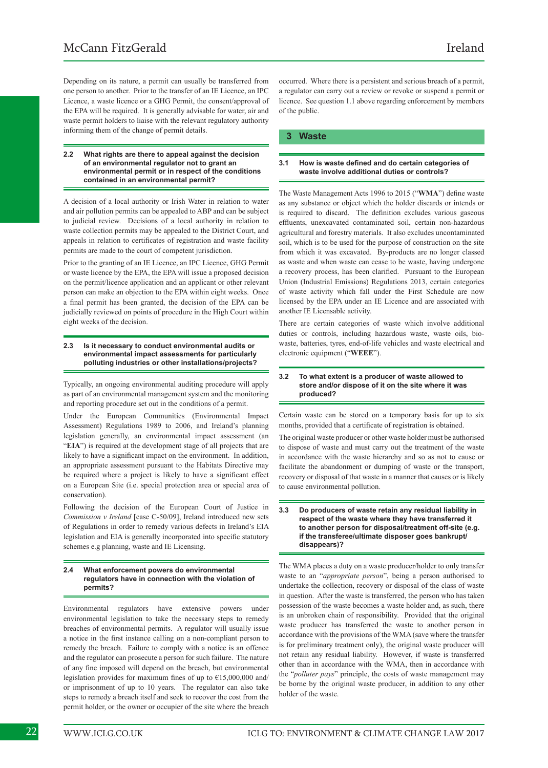Depending on its nature, a permit can usually be transferred from one person to another. Prior to the transfer of an IE Licence, an IPC Licence, a waste licence or a GHG Permit, the consent/approval of the EPA will be required. It is generally advisable for water, air and waste permit holders to liaise with the relevant regulatory authority informing them of the change of permit details.

### **2.2 What rights are there to appeal against the decision of an environmental regulator not to grant an environmental permit or in respect of the conditions contained in an environmental permit?**

A decision of a local authority or Irish Water in relation to water and air pollution permits can be appealed to ABP and can be subject to judicial review. Decisions of a local authority in relation to waste collection permits may be appealed to the District Court, and appeals in relation to certificates of registration and waste facility permits are made to the court of competent jurisdiction.

Prior to the granting of an IE Licence, an IPC Licence, GHG Permit or waste licence by the EPA, the EPA will issue a proposed decision on the permit/licence application and an applicant or other relevant person can make an objection to the EPA within eight weeks. Once a final permit has been granted, the decision of the EPA can be judicially reviewed on points of procedure in the High Court within eight weeks of the decision.

### **2.3 Is it necessary to conduct environmental audits or environmental impact assessments for particularly polluting industries or other installations/projects?**

Typically, an ongoing environmental auditing procedure will apply as part of an environmental management system and the monitoring and reporting procedure set out in the conditions of a permit.

Under the European Communities (Environmental Impact Assessment) Regulations 1989 to 2006, and Ireland's planning legislation generally, an environmental impact assessment (an "**EIA**") is required at the development stage of all projects that are likely to have a significant impact on the environment. In addition, an appropriate assessment pursuant to the Habitats Directive may be required where a project is likely to have a significant effect on a European Site (i.e. special protection area or special area of conservation).

Following the decision of the European Court of Justice in *Commission v Ireland* [case C-50/09], Ireland introduced new sets of Regulations in order to remedy various defects in Ireland's EIA legislation and EIA is generally incorporated into specific statutory schemes e.g planning, waste and IE Licensing.

### **2.4 What enforcement powers do environmental regulators have in connection with the violation of permits?**

Environmental regulators have extensive powers under environmental legislation to take the necessary steps to remedy breaches of environmental permits. A regulator will usually issue a notice in the first instance calling on a non-compliant person to remedy the breach. Failure to comply with a notice is an offence and the regulator can prosecute a person for such failure. The nature of any fine imposed will depend on the breach, but environmental legislation provides for maximum fines of up to €15,000,000 and/ or imprisonment of up to 10 years. The regulator can also take steps to remedy a breach itself and seek to recover the cost from the permit holder, or the owner or occupier of the site where the breach

occurred. Where there is a persistent and serious breach of a permit, a regulator can carry out a review or revoke or suspend a permit or licence. See question 1.1 above regarding enforcement by members of the public.

## **3 Waste**

## **3.1 How is waste defined and do certain categories of waste involve additional duties or controls?**

The Waste Management Acts 1996 to 2015 ("**WMA**") define waste as any substance or object which the holder discards or intends or is required to discard. The definition excludes various gaseous effluents, unexcavated contaminated soil, certain non-hazardous agricultural and forestry materials. It also excludes uncontaminated soil, which is to be used for the purpose of construction on the site from which it was excavated. By-products are no longer classed as waste and when waste can cease to be waste, having undergone a recovery process, has been clarified. Pursuant to the European Union (Industrial Emissions) Regulations 2013, certain categories of waste activity which fall under the First Schedule are now licensed by the EPA under an IE Licence and are associated with another IE Licensable activity.

There are certain categories of waste which involve additional duties or controls, including hazardous waste, waste oils, biowaste, batteries, tyres, end-of-life vehicles and waste electrical and electronic equipment ("**WEEE**").

## **3.2 To what extent is a producer of waste allowed to store and/or dispose of it on the site where it was produced?**

Certain waste can be stored on a temporary basis for up to six months, provided that a certificate of registration is obtained.

The original waste producer or other waste holder must be authorised to dispose of waste and must carry out the treatment of the waste in accordance with the waste hierarchy and so as not to cause or facilitate the abandonment or dumping of waste or the transport, recovery or disposal of that waste in a manner that causes or is likely to cause environmental pollution.

## **3.3 Do producers of waste retain any residual liability in respect of the waste where they have transferred it to another person for disposal/treatment off-site (e.g. if the transferee/ultimate disposer goes bankrupt/ disappears)?**

The WMA places a duty on a waste producer/holder to only transfer waste to an "*appropriate person*", being a person authorised to undertake the collection, recovery or disposal of the class of waste in question. After the waste is transferred, the person who has taken possession of the waste becomes a waste holder and, as such, there is an unbroken chain of responsibility. Provided that the original waste producer has transferred the waste to another person in accordance with the provisions of the WMA (save where the transfer is for preliminary treatment only), the original waste producer will not retain any residual liability. However, if waste is transferred other than in accordance with the WMA, then in accordance with the "*polluter pays*" principle, the costs of waste management may be borne by the original waste producer, in addition to any other holder of the waste.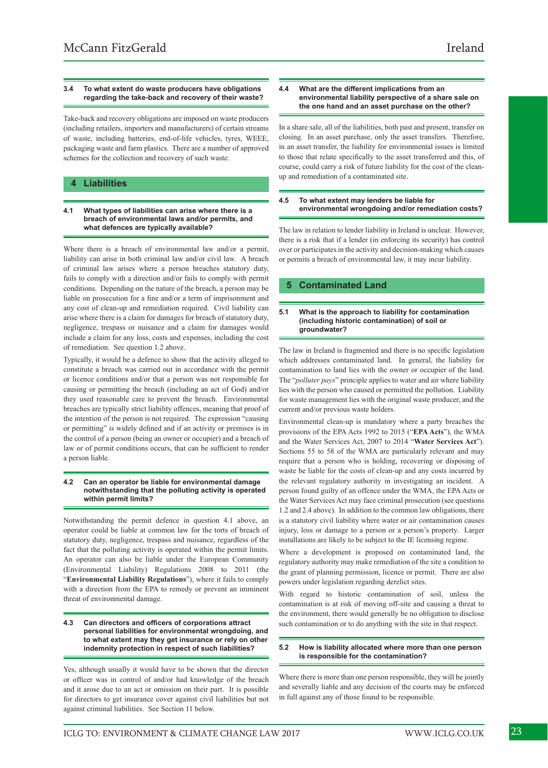## **3.4 To what extent do waste producers have obligations regarding the take-back and recovery of their waste?**

Take-back and recovery obligations are imposed on waste producers (including retailers, importers and manufacturers) of certain streams of waste, including batteries, end-of-life vehicles, tyres, WEEE, packaging waste and farm plastics. There are a number of approved schemes for the collection and recovery of such waste.

## **4 Liabilities**

## **4.1 What types of liabilities can arise where there is a breach of environmental laws and/or permits, and what defences are typically available?**

Where there is a breach of environmental law and/or a permit, liability can arise in both criminal law and/or civil law. A breach of criminal law arises where a person breaches statutory duty, fails to comply with a direction and/or fails to comply with permit conditions. Depending on the nature of the breach, a person may be liable on prosecution for a fine and/or a term of imprisonment and any cost of clean-up and remediation required. Civil liability can arise where there is a claim for damages for breach of statutory duty, negligence, trespass or nuisance and a claim for damages would include a claim for any loss, costs and expenses, including the cost of remediation. See question 1.2 above.

Typically, it would be a defence to show that the activity alleged to constitute a breach was carried out in accordance with the permit or licence conditions and/or that a person was not responsible for causing or permitting the breach (including an act of God) and/or they used reasonable care to prevent the breach. Environmental breaches are typically strict liability offences, meaning that proof of the intention of the person is not required. The expression "causing or permitting" is widely defined and if an activity or premises is in the control of a person (being an owner or occupier) and a breach of law or of permit conditions occurs, that can be sufficient to render a person liable.

## **4.2 Can an operator be liable for environmental damage notwithstanding that the polluting activity is operated within permit limits?**

Notwithstanding the permit defence in question 4.1 above, an operator could be liable at common law for the torts of breach of statutory duty, negligence, trespass and nuisance, regardless of the fact that the polluting activity is operated within the permit limits. An operator can also be liable under the European Community (Environmental Liability) Regulations 2008 to 2011 (the "**Environmental Liability Regulations**"), where it fails to comply with a direction from the EPA to remedy or prevent an imminent threat of environmental damage.

## **4.3 Can directors and officers of corporations attract personal liabilities for environmental wrongdoing, and to what extent may they get insurance or rely on other indemnity protection in respect of such liabilities?**

Yes, although usually it would have to be shown that the director or officer was in control of and/or had knowledge of the breach and it arose due to an act or omission on their part. It is possible for directors to get insurance cover against civil liabilities but not against criminal liabilities. See Section 11 below.

## **4.4 What are the different implications from an environmental liability perspective of a share sale on the one hand and an asset purchase on the other?**

In a share sale, all of the liabilities, both past and present, transfer on closing. In an asset purchase, only the asset transfers. Therefore, in an asset transfer, the liability for environmental issues is limited to those that relate specifically to the asset transferred and this, of course, could carry a risk of future liability for the cost of the cleanup and remediation of a contaminated site.

## **4.5 To what extent may lenders be liable for environmental wrongdoing and/or remediation costs?**

The law in relation to lender liability in Ireland is unclear. However, there is a risk that if a lender (in enforcing its security) has control over or participates in the activity and decision-making which causes or permits a breach of environmental law, it may incur liability.

## **5 Contaminated Land**

## **5.1 What is the approach to liability for contamination (including historic contamination) of soil or groundwater?**

The law in Ireland is fragmented and there is no specific legislation which addresses contaminated land. In general, the liability for contamination to land lies with the owner or occupier of the land. The "*polluter pays*" principle applies to water and air where liability lies with the person who caused or permitted the pollution. Liability for waste management lies with the original waste producer, and the current and/or previous waste holders.

Environmental clean-up is mandatory where a party breaches the provisions of the EPA Acts 1992 to 2015 ("**EPA Acts**"), the WMA and the Water Services Act, 2007 to 2014 "**Water Services Act**"). Sections 55 to 58 of the WMA are particularly relevant and may require that a person who is holding, recovering or disposing of waste be liable for the costs of clean-up and any costs incurred by the relevant regulatory authority in investigating an incident. A person found guilty of an offence under the WMA, the EPA Acts or the Water Services Act may face criminal prosecution (see questions 1.2 and 2.4 above). In addition to the common law obligations, there is a statutory civil liability where water or air contamination causes injury, loss or damage to a person or a person's property. Larger installations are likely to be subject to the IE licensing regime.

Where a development is proposed on contaminated land, the regulatory authority may make remediation of the site a condition to the grant of planning permission, licence or permit. There are also powers under legislation regarding derelict sites.

With regard to historic contamination of soil, unless the contamination is at risk of moving off-site and causing a threat to the environment, there would generally be no obligation to disclose such contamination or to do anything with the site in that respect.

## **5.2 How is liability allocated where more than one person is responsible for the contamination?**

Where there is more than one person responsible, they will be jointly and severally liable and any decision of the courts may be enforced in full against any of those found to be responsible.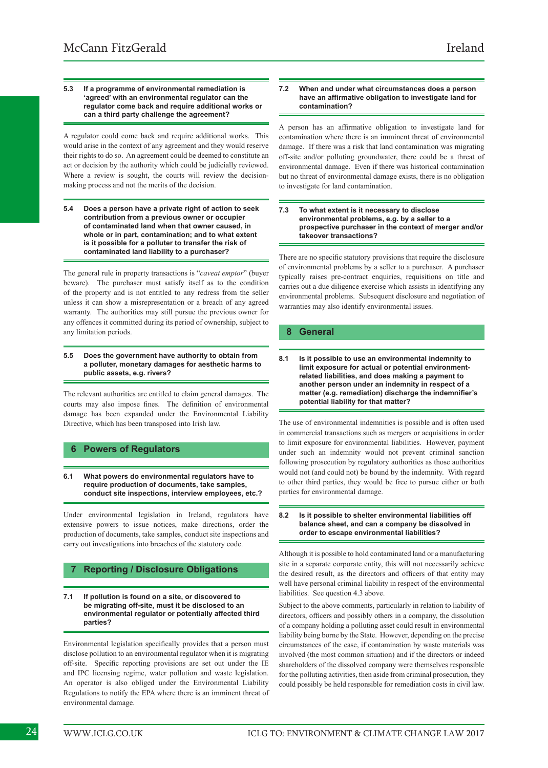## **5.3 If a programme of environmental remediation is 'agreed' with an environmental regulator can the regulator come back and require additional works or can a third party challenge the agreement?**

A regulator could come back and require additional works. This would arise in the context of any agreement and they would reserve their rights to do so. An agreement could be deemed to constitute an act or decision by the authority which could be judicially reviewed. Where a review is sought, the courts will review the decisionmaking process and not the merits of the decision.

**5.4 Does a person have a private right of action to seek contribution from a previous owner or occupier of contaminated land when that owner caused, in whole or in part, contamination; and to what extent is it possible for a polluter to transfer the risk of contaminated land liability to a purchaser?**

The general rule in property transactions is "*caveat emptor*" (buyer beware). The purchaser must satisfy itself as to the condition of the property and is not entitled to any redress from the seller unless it can show a misrepresentation or a breach of any agreed warranty. The authorities may still pursue the previous owner for any offences it committed during its period of ownership, subject to any limitation periods.

### **5.5 Does the government have authority to obtain from a polluter, monetary damages for aesthetic harms to public assets, e.g. rivers?**

The relevant authorities are entitled to claim general damages. The courts may also impose fines. The definition of environmental damage has been expanded under the Environmental Liability Directive, which has been transposed into Irish law.

## **6 Powers of Regulators**

## **6.1 What powers do environmental regulators have to require production of documents, take samples, conduct site inspections, interview employees, etc.?**

Under environmental legislation in Ireland, regulators have extensive powers to issue notices, make directions, order the production of documents, take samples, conduct site inspections and carry out investigations into breaches of the statutory code.

## **7 Reporting / Disclosure Obligations**

**7.1 If pollution is found on a site, or discovered to be migrating off-site, must it be disclosed to an environmental regulator or potentially affected third parties?**

Environmental legislation specifically provides that a person must disclose pollution to an environmental regulator when it is migrating off-site. Specific reporting provisions are set out under the IE and IPC licensing regime, water pollution and waste legislation. An operator is also obliged under the Environmental Liability Regulations to notify the EPA where there is an imminent threat of environmental damage.

## **7.2 When and under what circumstances does a person have an affirmative obligation to investigate land for contamination?**

A person has an affirmative obligation to investigate land for contamination where there is an imminent threat of environmental damage. If there was a risk that land contamination was migrating off-site and/or polluting groundwater, there could be a threat of environmental damage. Even if there was historical contamination but no threat of environmental damage exists, there is no obligation to investigate for land contamination.

## **7.3 To what extent is it necessary to disclose environmental problems, e.g. by a seller to a prospective purchaser in the context of merger and/or takeover transactions?**

There are no specific statutory provisions that require the disclosure of environmental problems by a seller to a purchaser. A purchaser typically raises pre-contract enquiries, requisitions on title and carries out a due diligence exercise which assists in identifying any environmental problems. Subsequent disclosure and negotiation of warranties may also identify environmental issues.

## **8 General**

The use of environmental indemnities is possible and is often used in commercial transactions such as mergers or acquisitions in order to limit exposure for environmental liabilities. However, payment under such an indemnity would not prevent criminal sanction following prosecution by regulatory authorities as those authorities would not (and could not) be bound by the indemnity. With regard to other third parties, they would be free to pursue either or both parties for environmental damage.

## **8.2 Is it possible to shelter environmental liabilities off balance sheet, and can a company be dissolved in order to escape environmental liabilities?**

Although it is possible to hold contaminated land or a manufacturing site in a separate corporate entity, this will not necessarily achieve the desired result, as the directors and officers of that entity may well have personal criminal liability in respect of the environmental liabilities. See question 4.3 above.

Subject to the above comments, particularly in relation to liability of directors, officers and possibly others in a company, the dissolution of a company holding a polluting asset could result in environmental liability being borne by the State. However, depending on the precise circumstances of the case, if contamination by waste materials was involved (the most common situation) and if the directors or indeed shareholders of the dissolved company were themselves responsible for the polluting activities, then aside from criminal prosecution, they could possibly be held responsible for remediation costs in civil law.

**<sup>8.1</sup> Is it possible to use an environmental indemnity to limit exposure for actual or potential environmentrelated liabilities, and does making a payment to another person under an indemnity in respect of a matter (e.g. remediation) discharge the indemnifier's potential liability for that matter?**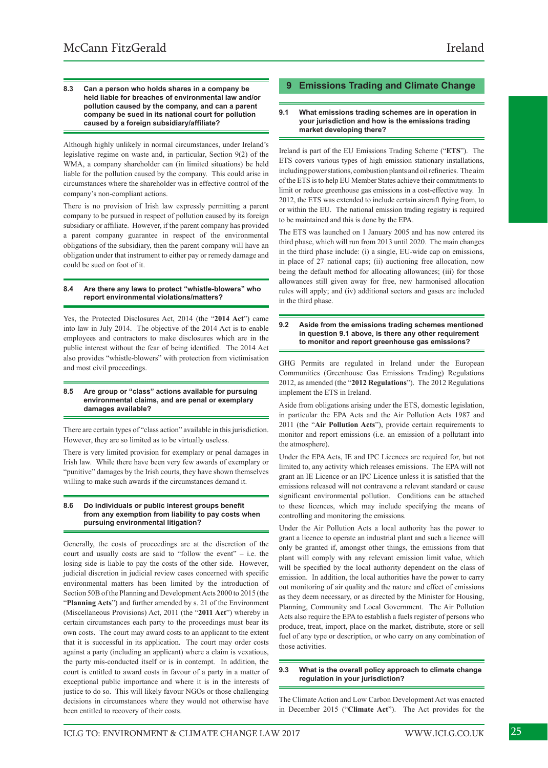#### **8.3 Can a person who holds shares in a company be held liable for breaches of environmental law and/or pollution caused by the company, and can a parent company be sued in its national court for pollution caused by a foreign subsidiary/affiliate?**

Although highly unlikely in normal circumstances, under Ireland's legislative regime on waste and, in particular, Section 9(2) of the WMA, a company shareholder can (in limited situations) be held liable for the pollution caused by the company. This could arise in circumstances where the shareholder was in effective control of the company's non-compliant actions.

There is no provision of Irish law expressly permitting a parent company to be pursued in respect of pollution caused by its foreign subsidiary or affiliate. However, if the parent company has provided a parent company guarantee in respect of the environmental obligations of the subsidiary, then the parent company will have an obligation under that instrument to either pay or remedy damage and could be sued on foot of it.

## **8.4 Are there any laws to protect "whistle-blowers" who report environmental violations/matters?**

Yes, the Protected Disclosures Act, 2014 (the "**2014 Act**") came into law in July 2014. The objective of the 2014 Act is to enable employees and contractors to make disclosures which are in the public interest without the fear of being identified. The 2014 Act also provides "whistle-blowers" with protection from victimisation and most civil proceedings.

## **8.5 Are group or "class" actions available for pursuing environmental claims, and are penal or exemplary damages available?**

There are certain types of "class action" available in this jurisdiction. However, they are so limited as to be virtually useless.

There is very limited provision for exemplary or penal damages in Irish law. While there have been very few awards of exemplary or "punitive" damages by the Irish courts, they have shown themselves willing to make such awards if the circumstances demand it.

## **8.6 Do individuals or public interest groups benefit from any exemption from liability to pay costs when pursuing environmental litigation?**

Generally, the costs of proceedings are at the discretion of the court and usually costs are said to "follow the event" – i.e. the losing side is liable to pay the costs of the other side. However, judicial discretion in judicial review cases concerned with specific environmental matters has been limited by the introduction of Section 50B of the Planning and Development Acts 2000 to 2015 (the "**Planning Acts**") and further amended by s. 21 of the Environment (Miscellaneous Provisions) Act, 2011 (the "**2011 Act**") whereby in certain circumstances each party to the proceedings must bear its own costs. The court may award costs to an applicant to the extent that it is successful in its application. The court may order costs against a party (including an applicant) where a claim is vexatious, the party mis-conducted itself or is in contempt. In addition, the court is entitled to award costs in favour of a party in a matter of exceptional public importance and where it is in the interests of justice to do so. This will likely favour NGOs or those challenging decisions in circumstances where they would not otherwise have been entitled to recovery of their costs.

## **9 Emissions Trading and Climate Change**

## **9.1 What emissions trading schemes are in operation in your jurisdiction and how is the emissions trading market developing there?**

Ireland is part of the EU Emissions Trading Scheme ("**ETS**"). The ETS covers various types of high emission stationary installations, including power stations, combustion plants and oil refineries. The aim of the ETS is to help EU Member States achieve their commitments to limit or reduce greenhouse gas emissions in a cost-effective way. In 2012, the ETS was extended to include certain aircraft flying from, to or within the EU. The national emission trading registry is required to be maintained and this is done by the EPA.

The ETS was launched on 1 January 2005 and has now entered its third phase, which will run from 2013 until 2020. The main changes in the third phase include: (i) a single, EU-wide cap on emissions, in place of 27 national caps; (ii) auctioning free allocation, now being the default method for allocating allowances; (iii) for those allowances still given away for free, new harmonised allocation rules will apply; and (iv) additional sectors and gases are included in the third phase.

## **9.2 Aside from the emissions trading schemes mentioned in question 9.1 above, is there any other requirement to monitor and report greenhouse gas emissions?**

GHG Permits are regulated in Ireland under the European Communities (Greenhouse Gas Emissions Trading) Regulations 2012, as amended (the "**2012 Regulations**"). The 2012 Regulations implement the ETS in Ireland.

Aside from obligations arising under the ETS, domestic legislation, in particular the EPA Acts and the Air Pollution Acts 1987 and 2011 (the "**Air Pollution Acts**"), provide certain requirements to monitor and report emissions (i.e. an emission of a pollutant into the atmosphere).

Under the EPA Acts, IE and IPC Licences are required for, but not limited to, any activity which releases emissions. The EPA will not grant an IE Licence or an IPC Licence unless it is satisfied that the emissions released will not contravene a relevant standard or cause significant environmental pollution. Conditions can be attached to these licences, which may include specifying the means of controlling and monitoring the emissions.

Under the Air Pollution Acts a local authority has the power to grant a licence to operate an industrial plant and such a licence will only be granted if, amongst other things, the emissions from that plant will comply with any relevant emission limit value, which will be specified by the local authority dependent on the class of emission. In addition, the local authorities have the power to carry out monitoring of air quality and the nature and effect of emissions as they deem necessary, or as directed by the Minister for Housing, Planning, Community and Local Government. The Air Pollution Acts also require the EPA to establish a fuels register of persons who produce, treat, import, place on the market, distribute, store or sell fuel of any type or description, or who carry on any combination of those activities.

## **9.3 What is the overall policy approach to climate change regulation in your jurisdiction?**

The Climate Action and Low Carbon Development Act was enacted in December 2015 ("**Climate Act**"). The Act provides for the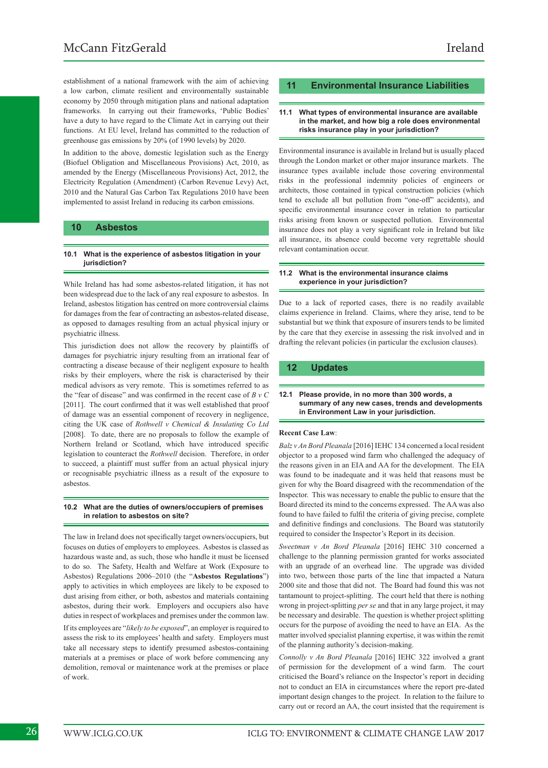establishment of a national framework with the aim of achieving a low carbon, climate resilient and environmentally sustainable economy by 2050 through mitigation plans and national adaptation frameworks. In carrying out their frameworks, 'Public Bodies' have a duty to have regard to the Climate Act in carrying out their functions. At EU level, Ireland has committed to the reduction of greenhouse gas emissions by 20% (of 1990 levels) by 2020.

In addition to the above, domestic legislation such as the Energy (Biofuel Obligation and Miscellaneous Provisions) Act, 2010, as amended by the Energy (Miscellaneous Provisions) Act, 2012, the Electricity Regulation (Amendment) (Carbon Revenue Levy) Act, 2010 and the Natural Gas Carbon Tax Regulations 2010 have been implemented to assist Ireland in reducing its carbon emissions.

## **10 Asbestos**

## **10.1 What is the experience of asbestos litigation in your jurisdiction?**

While Ireland has had some asbestos-related litigation, it has not been widespread due to the lack of any real exposure to asbestos. In Ireland, asbestos litigation has centred on more controversial claims for damages from the fear of contracting an asbestos-related disease, as opposed to damages resulting from an actual physical injury or psychiatric illness.

This jurisdiction does not allow the recovery by plaintiffs of damages for psychiatric injury resulting from an irrational fear of contracting a disease because of their negligent exposure to health risks by their employers, where the risk is characterised by their medical advisors as very remote. This is sometimes referred to as the "fear of disease" and was confirmed in the recent case of *B v C* [2011]. The court confirmed that it was well established that proof of damage was an essential component of recovery in negligence, citing the UK case of *Rothwell v Chemical & Insulating Co Ltd*  [2008]. To date, there are no proposals to follow the example of Northern Ireland or Scotland, which have introduced specific legislation to counteract the *Rothwell* decision. Therefore, in order to succeed, a plaintiff must suffer from an actual physical injury or recognisable psychiatric illness as a result of the exposure to asbestos.

### **10.2 What are the duties of owners/occupiers of premises in relation to asbestos on site?**

The law in Ireland does not specifically target owners/occupiers, but focuses on duties of employers to employees. Asbestos is classed as hazardous waste and, as such, those who handle it must be licensed to do so. The Safety, Health and Welfare at Work (Exposure to Asbestos) Regulations 2006–2010 (the "**Asbestos Regulations**") apply to activities in which employees are likely to be exposed to dust arising from either, or both, asbestos and materials containing asbestos, during their work. Employers and occupiers also have duties in respect of workplaces and premises under the common law. If its employees are "*likely to be exposed*", an employer is required to assess the risk to its employees' health and safety. Employers must take all necessary steps to identify presumed asbestos-containing materials at a premises or place of work before commencing any demolition, removal or maintenance work at the premises or place of work.

## **11 Environmental Insurance Liabilities**

## **11.1 What types of environmental insurance are available in the market, and how big a role does environmental risks insurance play in your jurisdiction?**

Environmental insurance is available in Ireland but is usually placed through the London market or other major insurance markets. The insurance types available include those covering environmental risks in the professional indemnity policies of engineers or architects, those contained in typical construction policies (which tend to exclude all but pollution from "one-off" accidents), and specific environmental insurance cover in relation to particular risks arising from known or suspected pollution. Environmental insurance does not play a very significant role in Ireland but like all insurance, its absence could become very regrettable should relevant contamination occur.

#### **11.2 What is the environmental insurance claims experience in your jurisdiction?**

Due to a lack of reported cases, there is no readily available claims experience in Ireland. Claims, where they arise, tend to be substantial but we think that exposure of insurers tends to be limited by the care that they exercise in assessing the risk involved and in drafting the relevant policies (in particular the exclusion clauses).

## **12 Updates**

#### **12.1 Please provide, in no more than 300 words, a summary of any new cases, trends and developments in Environment Law in your jurisdiction.**

## **Recent Case Law**:

*Balz v An Bord Pleanala* [2016] IEHC 134 concerned a local resident objector to a proposed wind farm who challenged the adequacy of the reasons given in an EIA and AA for the development. The EIA was found to be inadequate and it was held that reasons must be given for why the Board disagreed with the recommendation of the Inspector. This was necessary to enable the public to ensure that the Board directed its mind to the concerns expressed. The AA was also found to have failed to fulfil the criteria of giving precise, complete and definitive findings and conclusions. The Board was statutorily required to consider the Inspector's Report in its decision.

*Sweetman v An Bord Pleanala* [2016] IEHC 310 concerned a challenge to the planning permission granted for works associated with an upgrade of an overhead line. The upgrade was divided into two, between those parts of the line that impacted a Natura 2000 site and those that did not. The Board had found this was not tantamount to project-splitting. The court held that there is nothing wrong in project-splitting *per se* and that in any large project, it may be necessary and desirable. The question is whether project splitting occurs for the purpose of avoiding the need to have an EIA. As the matter involved specialist planning expertise, it was within the remit of the planning authority's decision-making.

*Connolly v An Bord Pleanala* [2016] IEHC 322 involved a grant of permission for the development of a wind farm. The court criticised the Board's reliance on the Inspector's report in deciding not to conduct an EIA in circumstances where the report pre-dated important design changes to the project. In relation to the failure to carry out or record an AA, the court insisted that the requirement is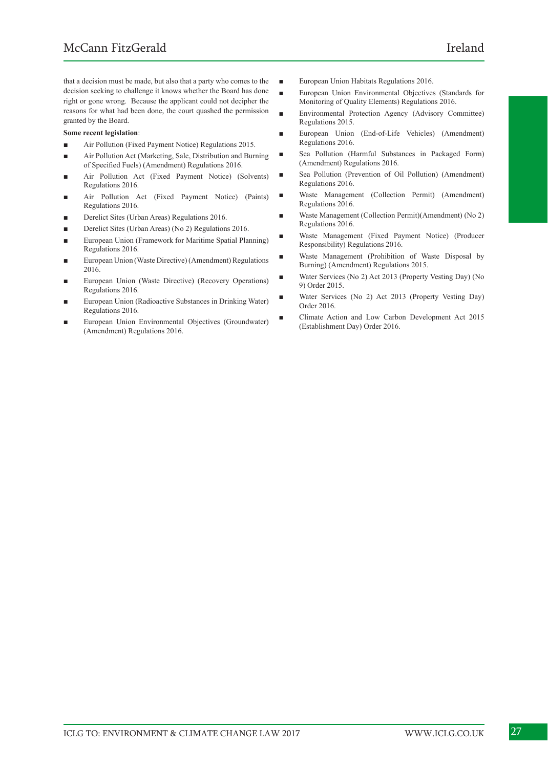that a decision must be made, but also that a party who comes to the decision seeking to challenge it knows whether the Board has done right or gone wrong. Because the applicant could not decipher the reasons for what had been done, the court quashed the permission granted by the Board.

## **Some recent legislation**:

- Air Pollution (Fixed Payment Notice) Regulations 2015.
- Air Pollution Act (Marketing, Sale, Distribution and Burning of Specified Fuels) (Amendment) Regulations 2016.
- Air Pollution Act (Fixed Payment Notice) (Solvents) Regulations 2016.
- Air Pollution Act (Fixed Payment Notice) (Paints) Regulations 2016.
- Derelict Sites (Urban Areas) Regulations 2016.
- Derelict Sites (Urban Areas) (No 2) Regulations 2016.
- European Union (Framework for Maritime Spatial Planning) Regulations 2016.
- European Union (Waste Directive) (Amendment) Regulations 2016.
- European Union (Waste Directive) (Recovery Operations) Regulations 2016.
- European Union (Radioactive Substances in Drinking Water) Regulations 2016.
- European Union Environmental Objectives (Groundwater) (Amendment) Regulations 2016.
- European Union Habitats Regulations 2016.
- European Union Environmental Objectives (Standards for Monitoring of Quality Elements) Regulations 2016.
- Environmental Protection Agency (Advisory Committee) Regulations 2015.
- European Union (End-of-Life Vehicles) (Amendment) Regulations 2016.
- Sea Pollution (Harmful Substances in Packaged Form) (Amendment) Regulations 2016.
- Sea Pollution (Prevention of Oil Pollution) (Amendment) Regulations 2016.
- Waste Management (Collection Permit) (Amendment) Regulations 2016.
- Waste Management (Collection Permit)(Amendment) (No 2) Regulations 2016.
- Waste Management (Fixed Payment Notice) (Producer Responsibility) Regulations 2016.
- Waste Management (Prohibition of Waste Disposal by Burning) (Amendment) Regulations 2015.
- Water Services (No 2) Act 2013 (Property Vesting Day) (No 9) Order 2015.
- Water Services (No 2) Act 2013 (Property Vesting Day) Order 2016.
- Climate Action and Low Carbon Development Act 2015 (Establishment Day) Order 2016.